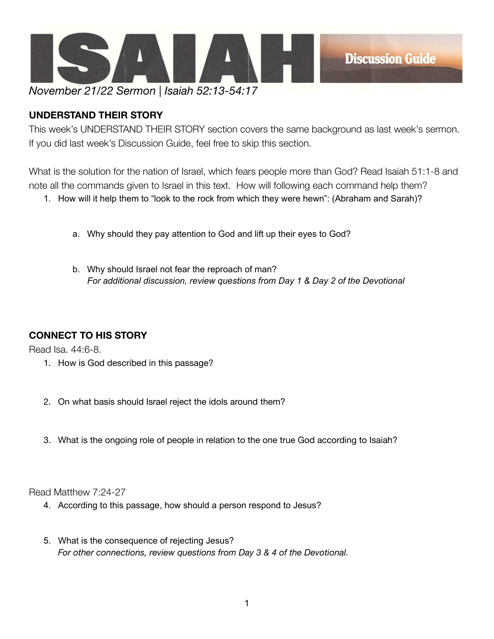

## **UNDERSTAND THEIR STORY**

This week's UNDERSTAND THEIR STORY section covers the same background as last week's sermon. If you did last week's Discussion Guide, feel free to skip this section.

What is the solution for the nation of Israel, which fears people more than God? Read Isaiah 51:1-8 and note all the commands given to Israel in this text. How will following each command help them?

1. How will it help them to "look to the rock from which they were hewn": (Abraham and Sarah)?

- a. Why should they pay attention to God and lift up their eyes to God?
- b. Why should Israel not fear the reproach of man? *For additional discussion, review questions from Day 1 & Day 2 of the Devotional*

## **CONNECT TO HIS STORY**

Read Isa. 44:6-8.

- 1. How is God described in this passage?
- 2. On what basis should Israel reject the idols around them?
- 3. What is the ongoing role of people in relation to the one true God according to Isaiah?

Read Matthew 7:24-27

- 4. According to this passage, how should a person respond to Jesus?
- 5. What is the consequence of rejecting Jesus? *For other connections, review questions from Day 3 & 4 of the Devotional.*